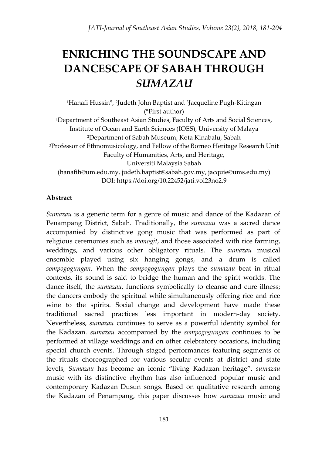# **ENRICHING THE SOUNDSCAPE AND DANCESCAPE OF SABAH THROUGH**  *SUMAZAU*

1Hanafi Hussin\*, 2Judeth John Baptist and 3Jacqueline Pugh-Kitingan (\*First author) <sup>1</sup>Department of Southeast Asian Studies, Faculty of Arts and Social Sciences, Institute of Ocean and Earth Sciences (IOES), University of Malaya <sup>2</sup>Department of Sabah Museum, Kota Kinabalu, Sabah <sup>3</sup>Professor of Ethnomusicology, and Fellow of the Borneo Heritage Research Unit Faculty of Humanities, Arts, and Heritage, Universiti Malaysia Sabah [\(hanafih@um.edu.my,](mailto:hanafih@um.edu.my) [judeth.baptist@sabah.gov.my,](mailto:judeth.baptist@sabah.gov.my) [jacquie@ums.edu.my\)](mailto:jacquie@ums.edu.my) DOI: https://doi.org/10.22452/jati.vol23no2.9

# **Abstract**

*Sumazau* is a generic term for a genre of music and dance of the Kadazan of Penampang District, Sabah. Traditionally, the *sumazau* was a sacred dance accompanied by distinctive gong music that was performed as part of religious ceremonies such as *monogit*, and those associated with rice farming, weddings, and various other obligatory rituals. The *sumazau* musical ensemble played using six hanging gongs, and a drum is called *sompogogungan.* When the *sompogogungan* plays the *sumazau* beat in ritual contexts, its sound is said to bridge the human and the spirit worlds. The dance itself, the *sumazau*, functions symbolically to cleanse and cure illness; the dancers embody the spiritual while simultaneously offering rice and rice wine to the spirits. Social change and development have made these traditional sacred practices less important in modern-day society. Nevertheless, *sumazau* continues to serve as a powerful identity symbol for the Kadazan. *sumazau* accompanied by the *sompogogungan* continues to be performed at village weddings and on other celebratory occasions, including special church events. Through staged performances featuring segments of the rituals choreographed for various secular events at district and state levels, *Sumazau* has become an iconic "living Kadazan heritage". *sumazau* music with its distinctive rhythm has also influenced popular music and contemporary Kadazan Dusun songs. Based on qualitative research among the Kadazan of Penampang, this paper discusses how *sumazau* music and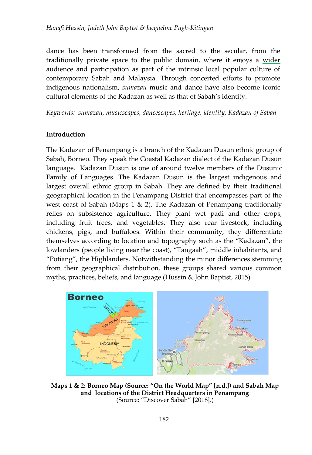dance has been transformed from the sacred to the secular, from the traditionally private space to the public domain, where it enjoys a wider audience and participation as part of the intrinsic local popular culture of contemporary Sabah and Malaysia. Through concerted efforts to promote indigenous nationalism, *sumazau* music and dance have also become iconic cultural elements of the Kadazan as well as that of Sabah's identity.

*Keywords: sumazau, musicscapes, dancescapes, heritage, identity, Kadazan of Sabah*

#### **Introduction**

The Kadazan of Penampang is a branch of the Kadazan Dusun ethnic group of Sabah, Borneo. They speak the Coastal Kadazan dialect of the Kadazan Dusun language. Kadazan Dusun is one of around twelve members of the Dusunic Family of Languages. The Kadazan Dusun is the largest indigenous and largest overall ethnic group in Sabah. They are defined by their traditional geographical location in the Penampang District that encompasses part of the west coast of Sabah (Maps 1 & 2). The Kadazan of Penampang traditionally relies on subsistence agriculture. They plant wet padi and other crops, including fruit trees, and vegetables. They also rear livestock, including chickens, pigs, and buffaloes. Within their community, they differentiate themselves according to location and topography such as the "Kadazan", the lowlanders (people living near the coast), "Tangaah", middle inhabitants, and "Potiang", the Highlanders. Notwithstanding the minor differences stemming from their geographical distribution, these groups shared various common myths, practices, beliefs, and language (Hussin & John Baptist, 2015).



**Maps 1 & 2: Borneo Map (Source: "On the World Map" [n.d.]) and Sabah Map and locations of the District Headquarters in Penampang** (Source: "Discover Sabah" [2018].)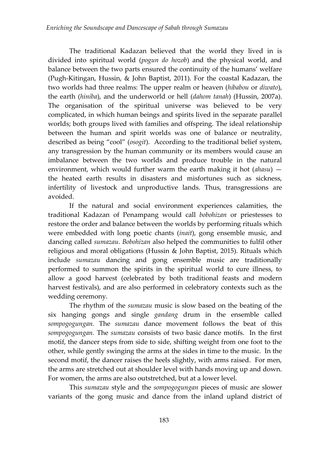The traditional Kadazan believed that the world they lived in is divided into spiritual world (*pogun do hozob*) and the physical world, and balance between the two parts ensured the continuity of the humans' welfare (Pugh-Kitingan, Hussin, & John Baptist, 2011). For the coastal Kadazan, the two worlds had three realms: The upper realm or heaven (*hibabou* or *diwato*), the earth (*hiniba*), and the underworld or hell (*dahom tanah*) (Hussin, 2007a). The organisation of the spiritual universe was believed to be very complicated, in which human beings and spirits lived in the separate parallel worlds; both groups lived with families and offspring. The ideal relationship between the human and spirit worlds was one of balance or neutrality, described as being "cool" (*osogit*). According to the traditional belief system, any transgression by the human community or its members would cause an imbalance between the two worlds and produce trouble in the natural environment, which would further warm the earth making it hot (*ahasu*) the heated earth results in disasters and misfortunes such as sickness, infertility of livestock and unproductive lands. Thus, transgressions are avoided.

If the natural and social environment experiences calamities, the traditional Kadazan of Penampang would call *bobohizan* or priestesses to restore the order and balance between the worlds by performing rituals which were embedded with long poetic chants (*inait*), gong ensemble music, and dancing called *sumazau*. *Bobohizan* also helped the communities to fulfil other religious and moral obligations (Hussin & John Baptist, 2015). Rituals which include *sumazau* dancing and gong ensemble music are traditionally performed to summon the spirits in the spiritual world to cure illness, to allow a good harvest (celebrated by both traditional feasts and modern harvest festivals), and are also performed in celebratory contexts such as the wedding ceremony.

The rhythm of the *sumazau* music is slow based on the beating of the six hanging gongs and single *gandang* drum in the ensemble called *sompogogungan.* The *sumazau* dance movement follows the beat of this *sompogogungan.* The *sumazau* consists of two basic dance motifs. In the first motif, the dancer steps from side to side, shifting weight from one foot to the other, while gently swinging the arms at the sides in time to the music. In the second motif, the dancer raises the heels slightly, with arms raised. For men, the arms are stretched out at shoulder level with hands moving up and down. For women, the arms are also outstretched, but at a lower level.

This *sumazau* style and the *sompogogungan* pieces of music are slower variants of the gong music and dance from the inland upland district of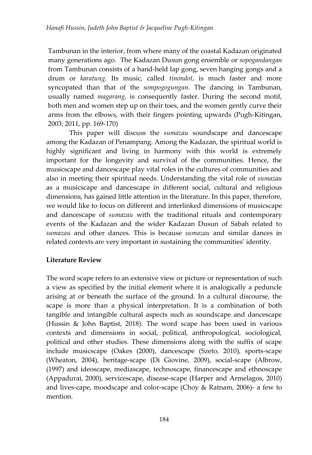Tambunan in the interior, from where many of the coastal Kadazan originated many generations ago. The Kadazan Dusun gong ensemble or *sopogandangan* from Tambunan consists of a hand-held lap gong, seven hanging gongs and a drum or *karatung*. Its music, called *tinondot,* is much faster and more syncopated than that of the *sompogogungan*. The dancing in Tambunan, usually named *magarang*, is consequently faster. During the second motif, both men and women step up on their toes, and the women gently curve their arms from the elbows, with their fingers pointing upwards (Pugh-Kitingan, 2003; 2011, pp. 169-170)

This paper will discuss the *sumazau* soundscape and dancescape among the Kadazan of Penampang. Among the Kadazan, the spiritual world is highly significant and living in harmony with this world is extremely important for the longevity and survival of the communities. Hence, the musicscape and dancescape play vital roles in the cultures of communities and also in meeting their spiritual needs. Understanding the vital role of *sumazau* as a musicscape and dancescape in different social, cultural and religious dimensions, has gained little attention in the literature. In this paper, therefore, we would like to focus on different and interlinked dimensions of musicscape and dancescape of *sumazau* with the traditional rituals and contemporary events of the Kadazan and the wider Kadazan Dusun of Sabah related to *sumazau* and other dances. This is because *sumazau* and similar dances in related contexts are very important in sustaining the communities' identity.

# **Literature Review**

The word scape refers to an extensive view or picture or representation of such a view as specified by the initial element where it is analogically a peduncle arising at or beneath the surface of the ground. In a cultural discourse, the scape is more than a physical interpretation. It is a combination of both tangible and intangible cultural aspects such as soundscape and dancescape (Hussin & John Baptist, 2018). The word scape has been used in various contexts and dimensions in social, political, anthropological, sociological, political and other studies. These dimensions along with the suffix of scape include musicscape (Oakes (2000), dancescape (Szeto, 2010), sports-scape (Wheaton, 2004), heritage-scape (Di Giovine, 2009), social-scape (Albrow, (1997) and ideoscape, mediascape, technoscape, financescape and ethnoscape (Appadurai, 2000), servicescape, disease-scape (Harper and Armelagos, 2010) and lives-cape, moodscape and color-scape (Choy & Ratnam, 2006)- a few to mention.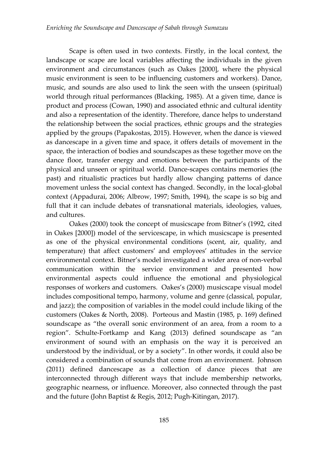Scape is often used in two contexts. Firstly, in the local context, the landscape or scape are local variables affecting the individuals in the given environment and circumstances (such as Oakes [2000], where the physical music environment is seen to be influencing customers and workers). Dance, music, and sounds are also used to link the seen with the unseen (spiritual) world through ritual performances (Blacking, 1985). At a given time, dance is product and process (Cowan, 1990) and associated ethnic and cultural identity and also a representation of the identity. Therefore, dance helps to understand the relationship between the social practices, ethnic groups and the strategies applied by the groups (Papakostas, 2015). However, when the dance is viewed as dancescape in a given time and space, it offers details of movement in the space, the interaction of bodies and soundscapes as these together move on the dance floor, transfer energy and emotions between the participants of the physical and unseen or spiritual world. Dance-scapes contains memories (the past) and ritualistic practices but hardly allow changing patterns of dance movement unless the social context has changed. Secondly, in the local-global context (Appadurai, 2006; Albrow, 1997; Smith, 1994), the scape is so big and full that it can include debates of transnational materials, ideologies, values, and cultures.

Oakes (2000) took the concept of musicscape from Bitner's (1992, cited in Oakes [2000]) model of the servicescape, in which musicscape is presented as one of the physical environmental conditions (scent, air, quality, and temperature) that affect customers' and employees' attitudes in the service environmental context. Bitner's model investigated a wider area of non-verbal communication within the service environment and presented how environmental aspects could influence the emotional and physiological responses of workers and customers. Oakes's (2000) musicscape visual model includes compositional tempo, harmony, volume and genre (classical, popular, and jazz); the composition of variables in the model could include liking of the customers (Oakes & North, 2008). Porteous and Mastin (1985, p. 169) defined soundscape as "the overall sonic environment of an area, from a room to a region". Schulte-Fortkamp and Kang (2013) defined soundscape as "an environment of sound with an emphasis on the way it is perceived an understood by the individual, or by a society". In other words, it could also be considered a combination of sounds that come from an environment. Johnson (2011) defined dancescape as a collection of dance pieces that are interconnected through different ways that include membership networks, geographic nearness, or influence. Moreover, also connected through the past and the future (John Baptist & Regis, 2012; Pugh-Kitingan, 2017).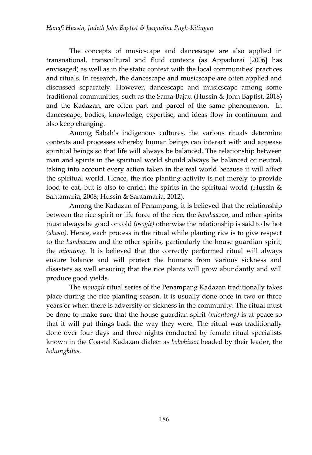The concepts of musicscape and dancescape are also applied in transnational, transcultural and fluid contexts (as Appadurai [2006] has envisaged) as well as in the static context with the local communities' practices and rituals. In research, the dancescape and musicscape are often applied and discussed separately. However, dancescape and musicscape among some traditional communities, such as the Sama-Bajau (Hussin & John Baptist, 2018) and the Kadazan, are often part and parcel of the same phenomenon. In dancescape, bodies, knowledge, expertise, and ideas flow in continuum and also keep changing.

Among Sabah's indigenous cultures, the various rituals determine contexts and processes whereby human beings can interact with and appease spiritual beings so that life will always be balanced. The relationship between man and spirits in the spiritual world should always be balanced or neutral, taking into account every action taken in the real world because it will affect the spiritual world. Hence, the rice planting activity is not merely to provide food to eat, but is also to enrich the spirits in the spiritual world (Hussin  $\&$ Santamaria, 2008; Hussin & Santamaria, 2012).

Among the Kadazan of Penampang, it is believed that the relationship between the rice spirit or life force of the rice, the *bambaazon*, and other spirits must always be good or cold *(osogit)* otherwise the relationship is said to be hot *(ahasu)*. Hence, each process in the ritual while planting rice is to give respect to the *bambaazon* and the other spirits, particularly the house guardian spirit, the *miontong*. It is believed that the correctly performed ritual will always ensure balance and will protect the humans from various sickness and disasters as well ensuring that the rice plants will grow abundantly and will produce good yields.

The *monogit* ritual series of the Penampang Kadazan traditionally takes place during the rice planting season. It is usually done once in two or three years or when there is adversity or sickness in the community. The ritual must be done to make sure that the house guardian spirit *(miontong)* is at peace so that it will put things back the way they were. The ritual was traditionally done over four days and three nights conducted by female ritual specialists known in the Coastal Kadazan dialect as *bobohizan* headed by their leader, the *bohungkitas*.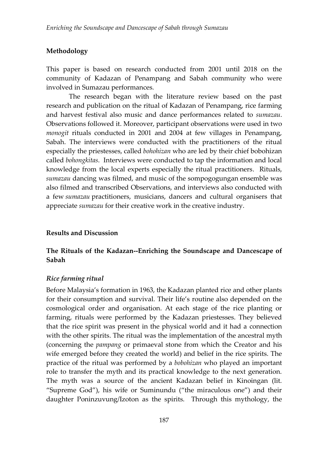# **Methodology**

This paper is based on research conducted from 2001 until 2018 on the community of Kadazan of Penampang and Sabah community who were involved in Sumazau performances.

The research began with the literature review based on the past research and publication on the ritual of Kadazan of Penampang, rice farming and harvest festival also music and dance performances related to *sumazau*. Observations followed it. Moreover, participant observations were used in two *monogit* rituals conducted in 2001 and 2004 at few villages in Penampang, Sabah. The interviews were conducted with the practitioners of the ritual especially the priestesses, called *bohohizan* who are led by their chief bobohizan called *bohongkitas*. Interviews were conducted to tap the information and local knowledge from the local experts especially the ritual practitioners. Rituals, *sumazau* dancing was filmed, and music of the sompogogungan ensemble was also filmed and transcribed Observations, and interviews also conducted with a few *sumazau* practitioners, musicians, dancers and cultural organisers that appreciate *sumazau* for their creative work in the creative industry.

# **Results and Discussion**

# **The Rituals of the Kadazan--Enriching the Soundscape and Dancescape of Sabah**

# *Rice farming ritual*

Before Malaysia's formation in 1963, the Kadazan planted rice and other plants for their consumption and survival. Their life's routine also depended on the cosmological order and organisation. At each stage of the rice planting or farming, rituals were performed by the Kadazan priestesses. They believed that the rice spirit was present in the physical world and it had a connection with the other spirits. The ritual was the implementation of the ancestral myth (concerning the *pampang* or primaeval stone from which the Creator and his wife emerged before they created the world) and belief in the rice spirits. The practice of the ritual was performed by a *bobohizan* who played an important role to transfer the myth and its practical knowledge to the next generation. The myth was a source of the ancient Kadazan belief in Kinoingan (lit. "Supreme God"), his wife or Suminundu ("the miraculous one") and their daughter Poninzuvung/Izoton as the spirits. Through this mythology, the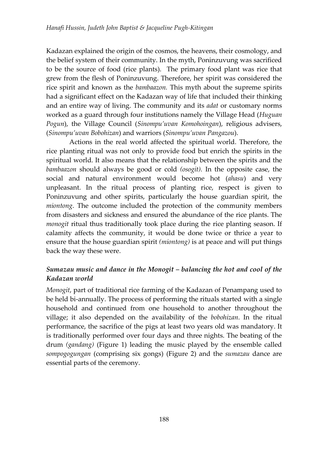Kadazan explained the origin of the cosmos, the heavens, their cosmology, and the belief system of their community. In the myth, Poninzuvung was sacrificed to be the source of food (rice plants). The primary food plant was rice that grew from the flesh of Poninzuvung. Therefore, her spirit was considered the rice spirit and known as the *bambaazon.* This myth about the supreme spirits had a significant effect on the Kadazan way of life that included their thinking and an entire way of living. The community and its *adat* or customary norms worked as a guard through four institutions namely the Village Head (*Huguan Pogun*), the Village Council (*Sinompu'uvan Komohoingan*), religious advisers, (*Sinompu'uvan Bobohizan*) and warriors (*Sinompu'uvan Pangazou*).

Actions in the real world affected the spiritual world. Therefore, the rice planting ritual was not only to provide food but enrich the spirits in the spiritual world. It also means that the relationship between the spirits and the *bambaazon* should always be good or cold *(osogit).* In the opposite case, the social and natural environment would become hot (*ahasu*) and very unpleasant. In the ritual process of planting rice, respect is given to Poninzuvung and other spirits, particularly the house guardian spirit, the *miontong*. The outcome included the protection of the community members from disasters and sickness and ensured the abundance of the rice plants. The *monogit* ritual thus traditionally took place during the rice planting season. If calamity affects the community, it would be done twice or thrice a year to ensure that the house guardian spirit *(miontong)* is at peace and will put things back the way these were.

# *Sumazau music and dance in the Monogit – balancing the hot and cool of the Kadazan world*

*Monogit*, part of traditional rice farming of the Kadazan of Penampang used to be held bi-annually. The process of performing the rituals started with a single household and continued from one household to another throughout the village; it also depended on the availability of the *bobohizan*. In the ritual performance, the sacrifice of the pigs at least two years old was mandatory. It is traditionally performed over four days and three nights. The beating of the drum *(gandang)* (Figure 1) leading the music played by the ensemble called *sompogogungan* (comprising six gongs) (Figure 2) and the *sumazau* dance are essential parts of the ceremony.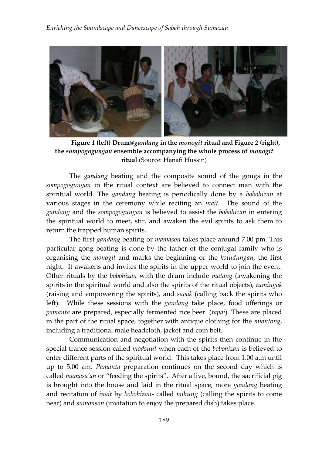

**Figure 1 (left) Drum@***gandang* **in the** *monogit* **ritual and Figure 2 (right), the** *sompogogungan* **ensemble accompanying the whole process of** *monogit* **ritual** (Source: Hanafi Hussin)

The *gandang* beating and the composite sound of the gongs in the *sompogogungan* in the ritual context are believed to connect man with the spiritual world. The *gandang* beating is periodically done by a *bobohizan* at various stages in the ceremony while reciting an *inait.* The sound of the *gandang* and the *sompogogungan* is believed to assist the *bobohizan* in entering the spiritual world to meet, stir, and awaken the evil spirits to ask them to return the trapped human spirits.

The first *gandang* beating or *mamason* takes place around 7.00 pm. This particular gong beating is done by the father of the conjugal family who is organising the *monogit* and marks the beginning or the *kotudungan*, the first night. It awakens and invites the spirits in the upper world to join the event. Other rituals by the *bobohizan* with the drum include *matang* (awakening the spirits in the spiritual world and also the spirits of the ritual objects), *tumingak* (raising and empowering the spirits), and *savak* (calling back the spirits who left). While these sessions with the *gandang* take place, food offerings or *pamanta* are prepared, especially fermented rice beer (*tapai*). These are placed in the part of the ritual space, together with antique clothing for the *miontong*, including a traditional male headcloth, jacket and coin belt.

Communication and negotiation with the spirits then continue in the special trance session called *modsuut* when each of the *bobohizan* is believed to enter different parts of the spiritual world. This takes place from 1.00 a.m until up to 5.00 am. *Pamanta* preparation continues on the second day which is called *mamasa'an* or "feeding the spirits". After a live, bound, the sacrificial pig is brought into the house and laid in the ritual space, more *gandang* beating and recitation of *inait* by *bobohizan-* called *mihung* (calling the spirits to come near) and *sumonson* (invitation to enjoy the prepared dish) takes place.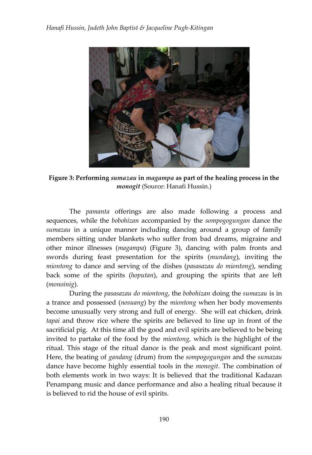

**Figure 3: Performing** *sumazau* **in** *magampa* **as part of the healing process in the**  *monogit* (Source: Hanafi Hussin.)

The *pamanta* offerings are also made following a process and sequences, while the *bobohizan* accompanied by the *sompogogungan* dance the *sumazau* in a unique manner including dancing around a group of family members sitting under blankets who suffer from bad dreams, migraine and other minor illnesses (*magampa*) (Figure 3), dancing with palm fronts and swords during feast presentation for the spirits (*mundang*), inviting the *miontong* to dance and serving of the dishes (*pasasazau do miontong*), sending back some of the spirits (*hoputan*), and grouping the spirits that are left (*monoinig*).

During the *pasasazau do miontong*, the *bobohizan* doing the *sumazau* is in a trance and possessed (*nosuang*) by the *miontong* when her body movements become unusually very strong and full of energy. She will eat chicken, drink *tapai* and throw rice where the spirits are believed to line up in front of the sacrificial pig. At this time all the good and evil spirits are believed to be being invited to partake of the food by the *miontong,* which is the highlight of the ritual. This stage of the ritual dance is the peak and most significant point. Here, the beating of *gandang* (drum) from the *sompogogungan* and the *sumazau* dance have become highly essential tools in the *monogit*. The combination of both elements work in two ways: It is believed that the traditional Kadazan Penampang music and dance performance and also a healing ritual because it is believed to rid the house of evil spirits.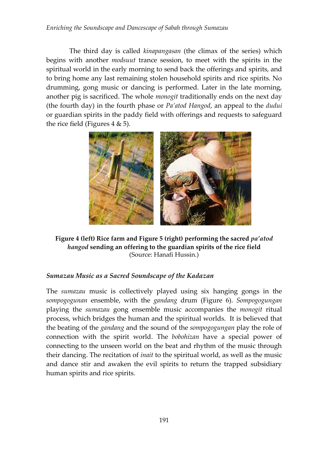#### *Enriching the Soundscape and Dancescape of Sabah through Sumazau*

The third day is called *kinapangasan* (the climax of the series) which begins with another *modsuut* trance session, to meet with the spirits in the spiritual world in the early morning to send back the offerings and spirits, and to bring home any last remaining stolen household spirits and rice spirits. No drumming, gong music or dancing is performed. Later in the late morning, another pig is sacrificed. The whole *monogit* traditionally ends on the next day (the fourth day) in the fourth phase or *Pa'atod Hangod*, an appeal to the *dudui* or guardian spirits in the paddy field with offerings and requests to safeguard the rice field (Figures  $4 \& 5$ ).



**Figure 4 (left) Rice farm and Figure 5 (right) performing the sacred** *pa'atod hangod* **sending an offering to the guardian spirits of the rice field** (Source: Hanafi Hussin.)

# *Sumazau Music as a Sacred Soundscape of the Kadazan*

The *sumazau* music is collectively played using six hanging gongs in the *sompogogunan* ensemble, with the *gandang* drum (Figure 6). *Sompogogungan* playing the *sumazau* gong ensemble music accompanies the *monogit* ritual process, which bridges the human and the spiritual worlds. It is believed that the beating of the *gandang* and the sound of the *sompogogungan* play the role of connection with the spirit world. The *bobohizan* have a special power of connecting to the unseen world on the beat and rhythm of the music through their dancing. The recitation of *inait* to the spiritual world, as well as the music and dance stir and awaken the evil spirits to return the trapped subsidiary human spirits and rice spirits.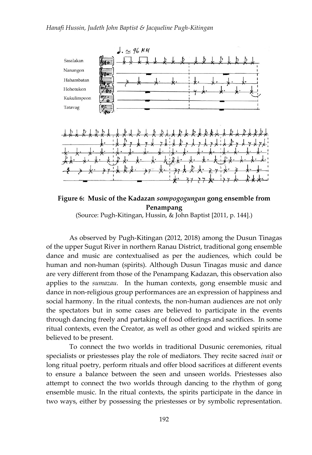

**Figure 6: Music of the Kadazan** *sompogogungan* **gong ensemble from Penampang**

(Source: Pugh-Kitingan, Hussin, & John Baptist [2011, p. 144].)

As observed by Pugh-Kitingan (2012, 2018) among the Dusun Tinagas of the upper Sugut River in northern Ranau District, traditional gong ensemble dance and music are contextualised as per the audiences, which could be human and non-human (spirits). Although Dusun Tinagas music and dance are very different from those of the Penampang Kadazan, this observation also applies to the *sumazau.* In the human contexts, gong ensemble music and dance in non-religious group performances are an expression of happiness and social harmony. In the ritual contexts, the non-human audiences are not only the spectators but in some cases are believed to participate in the events through dancing freely and partaking of food offerings and sacrifices. In some ritual contexts, even the Creator, as well as other good and wicked spirits are believed to be present.

To connect the two worlds in traditional Dusunic ceremonies, ritual specialists or priestesses play the role of mediators. They recite sacred *inait* or long ritual poetry, perform rituals and offer blood sacrifices at different events to ensure a balance between the seen and unseen worlds. Priestesses also attempt to connect the two worlds through dancing to the rhythm of gong ensemble music. In the ritual contexts, the spirits participate in the dance in two ways, either by possessing the priestesses or by symbolic representation.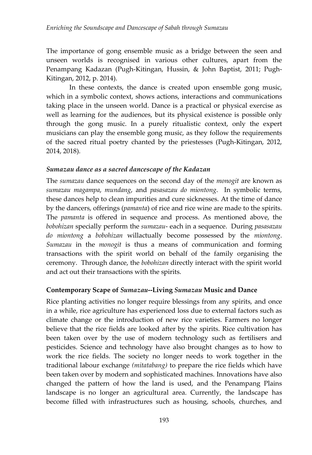The importance of gong ensemble music as a bridge between the seen and unseen worlds is recognised in various other cultures, apart from the Penampang Kadazan (Pugh-Kitingan, Hussin, & John Baptist, 2011; Pugh-Kitingan, 2012, p. 2014).

In these contexts, the dance is created upon ensemble gong music, which in a symbolic context, shows actions, interactions and communications taking place in the unseen world. Dance is a practical or physical exercise as well as learning for the audiences, but its physical existence is possible only through the gong music. In a purely ritualistic context, only the expert musicians can play the ensemble gong music, as they follow the requirements of the sacred ritual poetry chanted by the priestesses (Pugh-Kitingan, 2012, 2014, 2018).

#### *Sumazau dance as a sacred dancescape of the Kadazan*

The *sumazau* dance sequences on the second day of the *monogit* are known as *sumazau magampa*, *mundang*, and *pasasazau do miontong*. In symbolic terms, these dances help to clean impurities and cure sicknesses. At the time of dance by the dancers, offerings (*pamanta*) of rice and rice wine are made to the spirits. The *pamanta* is offered in sequence and process. As mentioned above, the *bobohizan* specially perform the *sumazau*- each in a sequence. During *pasasazau do miontong* a *bobohizan* willactually become possessed by the *miontong*. *Sumazau* in the *monogit* is thus a means of communication and forming transactions with the spirit world on behalf of the family organising the ceremony. Through dance, the *bobohizan* directly interact with the spirit world and act out their transactions with the spirits.

# **Contemporary Scape of** *Sumazau***--Living** *Sumazau* **Music and Dance**

Rice planting activities no longer require blessings from any spirits, and once in a while, rice agriculture has experienced loss due to external factors such as climate change or the introduction of new rice varieties. Farmers no longer believe that the rice fields are looked after by the spirits. Rice cultivation has been taken over by the use of modern technology such as fertilisers and pesticides. Science and technology have also brought changes as to how to work the rice fields. The society no longer needs to work together in the traditional labour exchange *(mitatabang)* to prepare the rice fields which have been taken over by modern and sophisticated machines. Innovations have also changed the pattern of how the land is used, and the Penampang Plains landscape is no longer an agricultural area. Currently, the landscape has become filled with infrastructures such as housing, schools, churches, and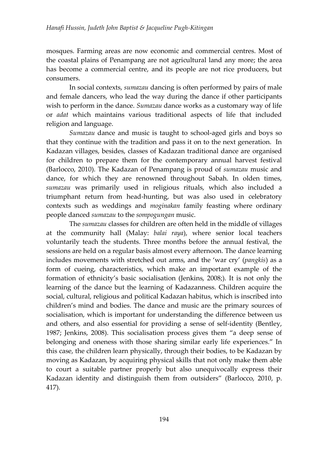mosques. Farming areas are now economic and commercial centres. Most of the coastal plains of Penampang are not agricultural land any more; the area has become a commercial centre, and its people are not rice producers, but consumers.

In social contexts, *sumazau* dancing is often performed by pairs of male and female dancers, who lead the way during the dance if other participants wish to perform in the dance. *Sumazau* dance works as a customary way of life or *adat* which maintains various traditional aspects of life that included religion and language.

*Sumazau* dance and music is taught to school-aged girls and boys so that they continue with the tradition and pass it on to the next generation. In Kadazan villages, besides, classes of Kadazan traditional dance are organised for children to prepare them for the contemporary annual harvest festival (Barlocco, 2010). The Kadazan of Penampang is proud of *sumazau* music and dance, for which they are renowned throughout Sabah. In olden times, *sumazau* was primarily used in religious rituals, which also included a triumphant return from head-hunting, but was also used in celebratory contexts such as weddings and *moginakan* family feasting where ordinary people danced *sumazau* to the *sompogungan* music.

The *sumazau* classes for children are often held in the middle of villages at the community hall (Malay: *balai raya*), where senior local teachers voluntarily teach the students. Three months before the annual festival, the sessions are held on a regular basis almost every afternoon. The dance learning includes movements with stretched out arms, and the 'war cry' (*pangkis*) as a form of cueing, characteristics, which make an important example of the formation of ethnicity's basic socialisation (Jenkins, 2008;). It is not only the learning of the dance but the learning of Kadazanness. Children acquire the social, cultural, religious and political Kadazan habitus, which is inscribed into children's mind and bodies. The dance and music are the primary sources of socialisation, which is important for understanding the difference between us and others, and also essential for providing a sense of self-identity (Bentley, 1987; Jenkins, 2008). This socialisation process gives them "a deep sense of belonging and oneness with those sharing similar early life experiences." In this case, the children learn physically, through their bodies, to be Kadazan by moving as Kadazan, by acquiring physical skills that not only make them able to court a suitable partner properly but also unequivocally express their Kadazan identity and distinguish them from outsiders" (Barlocco, 2010, p. 417).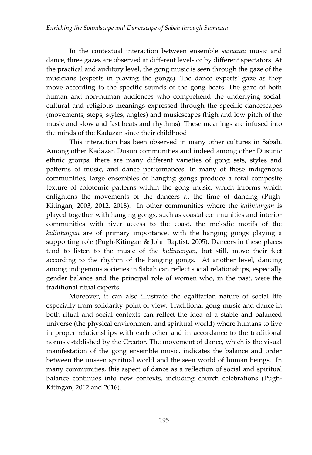In the contextual interaction between ensemble *sumazau* music and dance, three gazes are observed at different levels or by different spectators. At the practical and auditory level, the gong music is seen through the gaze of the musicians (experts in playing the gongs). The dance experts' gaze as they move according to the specific sounds of the gong beats. The gaze of both human and non-human audiences who comprehend the underlying social, cultural and religious meanings expressed through the specific dancescapes (movements, steps, styles, angles) and musicscapes (high and low pitch of the music and slow and fast beats and rhythms). These meanings are infused into the minds of the Kadazan since their childhood.

This interaction has been observed in many other cultures in Sabah. Among other Kadazan Dusun communities and indeed among other Dusunic ethnic groups, there are many different varieties of gong sets, styles and patterns of music, and dance performances. In many of these indigenous communities, large ensembles of hanging gongs produce a total composite texture of colotomic patterns within the gong music, which informs which enlightens the movements of the dancers at the time of dancing (Pugh-Kitingan, 2003, 2012, 2018). In other communities where the *kulintangan* is played together with hanging gongs, such as coastal communities and interior communities with river access to the coast, the melodic motifs of the *kulintangan* are of primary importance, with the hanging gongs playing a supporting role (Pugh-Kitingan & John Baptist, 2005). Dancers in these places tend to listen to the music of the *kulintangan,* but still, move their feet according to the rhythm of the hanging gongs. At another level, dancing among indigenous societies in Sabah can reflect social relationships, especially gender balance and the principal role of women who, in the past, were the traditional ritual experts.

Moreover, it can also illustrate the egalitarian nature of social life especially from solidarity point of view. Traditional gong music and dance in both ritual and social contexts can reflect the idea of a stable and balanced universe (the physical environment and spiritual world) where humans to live in proper relationships with each other and in accordance to the traditional norms established by the Creator. The movement of dance, which is the visual manifestation of the gong ensemble music, indicates the balance and order between the unseen spiritual world and the seen world of human beings. In many communities, this aspect of dance as a reflection of social and spiritual balance continues into new contexts, including church celebrations (Pugh-Kitingan, 2012 and 2016).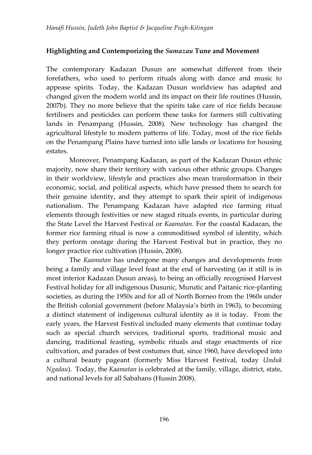# **Highlighting and Contemporizing the** *Sumazau* **Tune and Movement**

The contemporary Kadazan Dusun are somewhat different from their forefathers, who used to perform rituals along with dance and music to appease spirits. Today, the Kadazan Dusun worldview has adapted and changed given the modern world and its impact on their life routines (Hussin, 2007b). They no more believe that the spirits take care of rice fields because fertilisers and pesticides can perform these tasks for farmers still cultivating lands in Penampang (Hussin, 2008). New technology has changed the agricultural lifestyle to modern patterns of life. Today, most of the rice fields on the Penampang Plains have turned into idle lands or locations for housing estates.

Moreover, Penampang Kadazan, as part of the Kadazan Dusun ethnic majority, now share their territory with various other ethnic groups. Changes in their worldview, lifestyle and practices also mean transformation in their economic, social, and political aspects, which have pressed them to search for their genuine identity, and they attempt to spark their spirit of indigenous nationalism. The Penampang Kadazan have adapted rice farming ritual elements through festivities or new staged rituals events, in particular during the State Level the Harvest Festival or *Kaamatan*. For the coastal Kadazan, the former rice farming ritual is now a commoditised symbol of identity, which they perform onstage during the Harvest Festival but in practice, they no longer practice rice cultivation (Hussin, 2008).

The *Kaamatan* has undergone many changes and developments from being a family and village level feast at the end of harvesting (as it still is in most interior Kadazan Dusun areas), to being an officially recognised Harvest Festival holiday for all indigenous Dusunic, Murutic and Paitanic rice-planting societies, as during the 1950s and for all of North Borneo from the 1960s under the British colonial government (before Malaysia's birth in 1963), to becoming a distinct statement of indigenous cultural identity as it is today. From the early years, the Harvest Festival included many elements that continue today such as special church services, traditional sports, traditional music and dancing, traditional feasting, symbolic rituals and stage enactments of rice cultivation, and parades of best costumes that, since 1960, have developed into a cultural beauty pageant (formerly Miss Harvest Festival, today *Unduk Ngadau*). Today, the *Kaamatan* is celebrated at the family, village, district, state, and national levels for all Sabahans (Hussin 2008).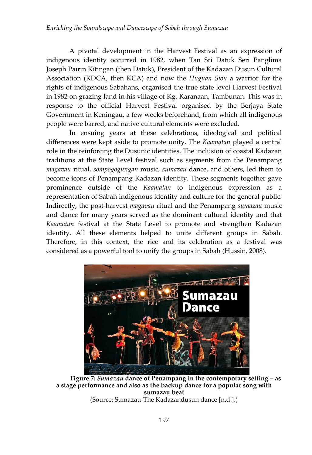A pivotal development in the Harvest Festival as an expression of indigenous identity occurred in 1982, when Tan Sri Datuk Seri Panglima Joseph Pairin Kitingan (then Datuk), President of the Kadazan Dusun Cultural Association (KDCA, then KCA) and now the *Huguan Siou* a warrior for the rights of indigenous Sabahans, organised the true state level Harvest Festival in 1982 on grazing land in his village of Kg. Karanaan, Tambunan. This was in response to the official Harvest Festival organised by the Berjaya State Government in Keningau, a few weeks beforehand, from which all indigenous people were barred, and native cultural elements were excluded.

In ensuing years at these celebrations, ideological and political differences were kept aside to promote unity. The *Kaamatan* played a central role in the reinforcing the Dusunic identities. The inclusion of coastal Kadazan traditions at the State Level festival such as segments from the Penampang *magavau* ritual, *sompogogungan* music, *sumazau* dance, and others, led them to become icons of Penampang Kadazan identity. These segments together gave prominence outside of the *Kaamatan* to indigenous expression as a representation of Sabah indigenous identity and culture for the general public. Indirectly, the post-harvest *magavau* ritual and the Penampang *sumazau* music and dance for many years served as the dominant cultural identity and that *Kaamatan* festival at the State Level to promote and strengthen Kadazan identity. All these elements helped to unite different groups in Sabah. Therefore, in this context, the rice and its celebration as a festival was considered as a powerful tool to unify the groups in Sabah (Hussin, 2008).



**Figure 7:** *Sumazau* **dance of Penampang in the contemporary setting – as a stage performance and also as the backup dance for a popular song with sumazau beat** (Source: Sumazau-The Kadazandusun dance [n.d.].)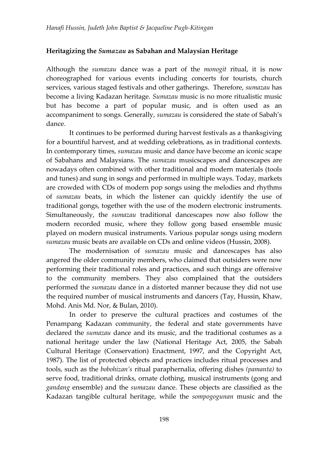# **Heritagizing the** *Sumazau* **as Sabahan and Malaysian Heritage**

Although the *sumazau* dance was a part of the *monogit* ritual, it is now choreographed for various events including concerts for tourists, church services, various staged festivals and other gatherings. Therefore, *sumazau* has become a living Kadazan heritage. *Sumazau* music is no more ritualistic music but has become a part of popular music, and is often used as an accompaniment to songs. Generally, *sumazau* is considered the state of Sabah's dance.

It continues to be performed during harvest festivals as a thanksgiving for a bountiful harvest, and at wedding celebrations, as in traditional contexts. In contemporary times, *sumazau* music and dance have become an iconic scape of Sabahans and Malaysians. The *sumazau* musicscapes and dancescapes are nowadays often combined with other traditional and modern materials (tools and tunes) and sung in songs and performed in multiple ways. Today, markets are crowded with CDs of modern pop songs using the melodies and rhythms of *sumazau* beats, in which the listener can quickly identify the use of traditional gongs, together with the use of the modern electronic instruments. Simultaneously, the *sumazau* traditional dancescapes now also follow the modern recorded music, where they follow gong based ensemble music played on modern musical instruments. Various popular songs using modern *sumazau* music beats are available on CDs and online videos (Hussin, 2008).

The modernisation of *sumazau* music and dancescapes has also angered the older community members, who claimed that outsiders were now performing their traditional roles and practices, and such things are offensive to the community members. They also complained that the outsiders performed the *sumazau* dance in a distorted manner because they did not use the required number of musical instruments and dancers (Tay, Hussin, Khaw, Mohd. Anis Md. Nor, & Bulan, 2010).

In order to preserve the cultural practices and costumes of the Penampang Kadazan community, the federal and state governments have declared the *sumazau* dance and its music, and the traditional costumes as a national heritage under the law (National Heritage Act, 2005, the Sabah Cultural Heritage (Conservation) Enactment, 1997, and the Copyright Act, 1987). The list of protected objects and practices includes ritual processes and tools, such as the *bobohizan's* ritual paraphernalia, offering dishes *(pamanta)* to serve food, traditional drinks, ornate clothing, musical instruments (gong and *gandang* ensemble) and the *sumazau* dance. These objects are classified as the Kadazan tangible cultural heritage, while the *sompogogunan* music and the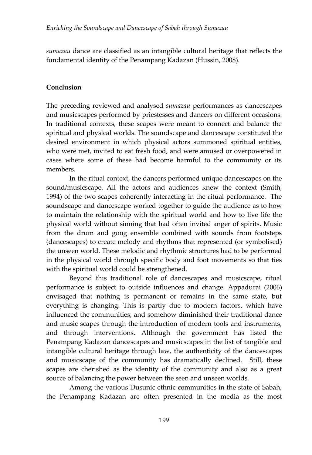*sumazau* dance are classified as an intangible cultural heritage that reflects the fundamental identity of the Penampang Kadazan (Hussin, 2008).

# **Conclusion**

The preceding reviewed and analysed *sumazau* performances as dancescapes and musicscapes performed by priestesses and dancers on different occasions. In traditional contexts, these scapes were meant to connect and balance the spiritual and physical worlds. The soundscape and dancescape constituted the desired environment in which physical actors summoned spiritual entities, who were met, invited to eat fresh food, and were amused or overpowered in cases where some of these had become harmful to the community or its members.

In the ritual context, the dancers performed unique dancescapes on the sound/musicscape. All the actors and audiences knew the context (Smith, 1994) of the two scapes coherently interacting in the ritual performance. The soundscape and dancescape worked together to guide the audience as to how to maintain the relationship with the spiritual world and how to live life the physical world without sinning that had often invited anger of spirits. Music from the drum and gong ensemble combined with sounds from footsteps (dancescapes) to create melody and rhythms that represented (or symbolised) the unseen world. These melodic and rhythmic structures had to be performed in the physical world through specific body and foot movements so that ties with the spiritual world could be strengthened.

Beyond this traditional role of dancescapes and musicscape, ritual performance is subject to outside influences and change. Appadurai (2006) envisaged that nothing is permanent or remains in the same state, but everything is changing. This is partly due to modern factors, which have influenced the communities, and somehow diminished their traditional dance and music scapes through the introduction of modern tools and instruments, and through interventions. Although the government has listed the Penampang Kadazan dancescapes and musicscapes in the list of tangible and intangible cultural heritage through law, the authenticity of the dancescapes and musicscape of the community has dramatically declined. Still, these scapes are cherished as the identity of the community and also as a great source of balancing the power between the seen and unseen worlds.

Among the various Dusunic ethnic communities in the state of Sabah, the Penampang Kadazan are often presented in the media as the most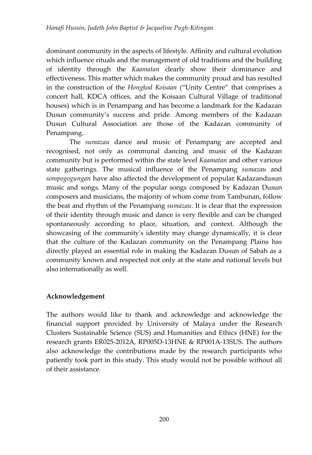dominant community in the aspects of lifestyle. Affinity and cultural evolution which influence rituals and the management of old traditions and the building of identity through the *Kaamatan* clearly show their dominance and effectiveness. This matter which makes the community proud and has resulted in the construction of the *Hongkod Koisaan* ("Unity Centre" that comprises a concert hall, KDCA offices, and the Koisaan Cultural Village of traditional houses) which is in Penampang and has become a landmark for the Kadazan Dusun community's success and pride. Among members of the Kadazan Dusun Cultural Association are those of the Kadazan community of Penampang.

The *sumazau* dance and music of Penampang are accepted and recognised, not only as communal dancing and music of the Kadazan community but is performed within the state level *Kaamatan* and other various state gatherings. The musical influence of the Penampang *sumazau* and *sompogogungan* have also affected the development of popular Kadazandusun music and songs. Many of the popular songs composed by Kadazan Dusun composers and musicians, the majority of whom come from Tambunan, follow the beat and rhythm of the Penampang *sumazau*. It is clear that the expression of their identity through music and dance is very flexible and can be changed spontaneously according to place, situation, and context. Although the showcasing of the community's identity may change dynamically, it is clear that the culture of the Kadazan community on the Penampang Plains has directly played an essential role in making the Kadazan Dusun of Sabah as a community known and respected not only at the state and national levels but also internationally as well.

# **Acknowledgement**

The authors would like to thank and acknowledge and acknowledge the financial support provided by University of Malaya under the Research Clusters Sustainable Science (SUS) and Humanities and Ethics (HNE) for the research grants ER025-2012A, RP005D-13HNE & RP001A-13SUS. The authors also acknowledge the contributions made by the research participants who patiently took part in this study. This study would not be possible without all of their assistance.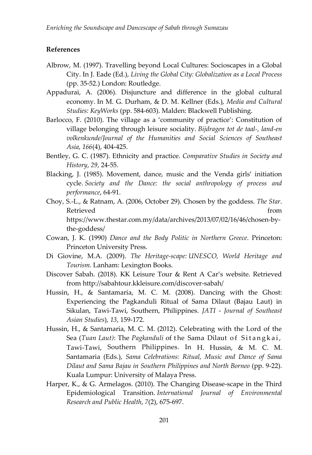#### **References**

- Albrow, M. (1997). Travelling beyond Local Cultures: Socioscapes in a Global City. In J. Eade (Ed.), *Living the Global City: Globalization as a Local Process* (pp. 35-52.) London: Routledge.
- Appadurai, A. (2006). Disjuncture and difference in the global cultural economy. In M. G. Durham, & D. M. Kellner (Eds.), *Media and Cultural Studies: KeyWorks* (pp. 584-603). Malden: Blackwell Publishing.
- Barlocco, F. (2010). The village as a 'community of practice': Constitution of village belonging through leisure sociality. *Bijdragen tot de taal-, land-en volkenkunde/Journal of the Humanities and Social Sciences of Southeast Asia*, *166*(4), 404-425.
- Bentley, G. C. (1987). Ethnicity and practice. *Comparative Studies in Society and History*, *29*, 24-55.
- Blacking, J. (1985). Movement, dance, music and the Venda girls' initiation cycle. *Society and the Dance: the social anthropology of process and performance*, 64-91.
- Choy, S.-L., & Ratnam, A. (2006, October 29). Chosen by the goddess. *The Star*. Retrieved from the settlement of the settlement of the settlement of the settlement of the settlement of the s [https://www.thestar.com.my/data/archives/2013/07/02/16/46/chosen-by](https://www.thestar.com.my/data/archives/2013/07/02/16/46/chosen-by-the-goddess/)[the-goddess/](https://www.thestar.com.my/data/archives/2013/07/02/16/46/chosen-by-the-goddess/)
- Cowan, J. K. (1990) *Dance and the Body Politic in Northern Greece*. Princeton: Princeton University Press.
- Di Giovine, M.A. (2009). *The Heritage-scape: UNESCO, World Heritage and Tourism*. Lanham: Lexington Books.
- Discover Sabah. (2018). KK Leisure Tour & Rent A Car's website. Retrieved from<http://sabahtour.kkleisure.com/discover-sabah/>
- Hussin, H., & Santamaria, M. C. M. (2008). Dancing with the Ghost: Experiencing the Pagkanduli Ritual of Sama Dilaut (Bajau Laut) in Sikulan, Tawi-Tawi, Southern, Philippines. *JATI* - *Journal of Southeast Asian Studies*), *13*, 159-172.
- Hussin, H., & Santamaria, M. C. M. (2012). Celebrating with the Lord of the Sea (*Tuan Laut*): The *Pagkanduli* of the Sama Dilaut of Sitangkai, Tawi-Tawi, Southern Philippines. In H. Hussin, & M. C. M. Santamaria (Eds.), *Sama Celebrations: Ritual, Music and Dance of Sama Dilaut and Sama Bajau in Southern Philippines and North Borneo* (pp. 9-22). Kuala Lumpur: University of Malaya Press.
- Harper, K., & G. Armelagos. (2010). The Changing Disease-scape in the Third Epidemiological Transition. *International Journal of Environmental Research and Public Health*, *7*(2), 675-697.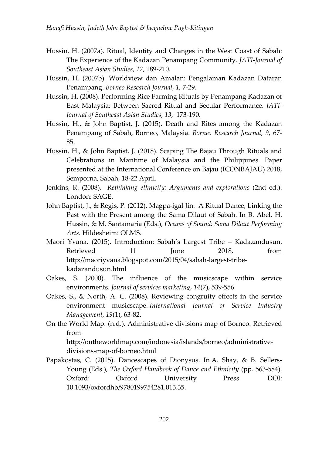- Hussin, H. (2007a). Ritual, Identity and Changes in the West Coast of Sabah: The Experience of the Kadazan Penampang Community. *JATI-Journal of Southeast Asian Studies*, *12*, 189-210.
- Hussin, H. (2007b). Worldview dan Amalan: Pengalaman Kadazan Dataran Penampang. *Borneo Research Journal*, *1*, 7-29.
- Hussin, H. (2008). Performing Rice Farming Rituals by Penampang Kadazan of East Malaysia: Between Sacred Ritual and Secular Performance. *JATI-Journal of Southeast Asian Studies*, *13*, 173-190.
- Hussin, H., & John Baptist, J. (2015). Death and Rites among the Kadazan Penampang of Sabah, Borneo, Malaysia. *Borneo Research Journal*, *9*, 67- 85.
- Hussin, H., & John Baptist, J. (2018). Scaping The Bajau Through Rituals and Celebrations in Maritime of Malaysia and the Philippines. Paper presented at the International Conference on Bajau (ICONBAJAU) 2018, Semporna, Sabah, 18-22 April.
- Jenkins, R. (2008). *Rethinking ethnicity: Arguments and explorations* (2nd ed.). London: SAGE.
- John Baptist, J., & Regis, P. (2012). Magpa-igal Jin: A Ritual Dance, Linking the Past with the Present among the Sama Dilaut of Sabah. In B. Abel, H. Hussin, & M. Santamaria (Eds.), *Oceans of Sound: Sama Dilaut Performing Arts*. Hildesheim: OLMS.
- Maori Yvana. (2015). Introduction: Sabah's Largest Tribe Kadazandusun. Retrieved 11 June 2018, from [http://maoriyvana.blogspot.com/2015/04/sabah-largest-tribe](http://maoriyvana.blogspot.com/2015/04/sabah-largest-tribe-kadazandusun.html)[kadazandusun.html](http://maoriyvana.blogspot.com/2015/04/sabah-largest-tribe-kadazandusun.html)
- Oakes, S. (2000). The influence of the musicscape within service environments. *Journal of services marketing*, *14*(7), 539-556.
- Oakes, S., & North, A. C. (2008). Reviewing congruity effects in the service environment musicscape. *International Journal of Service Industry Management*, *19*(1), 63-82.
- On the World Map. (n.d.). Administrative divisions map of Borneo. Retrieved from

[http://ontheworldmap.com/indonesia/islands/borneo/administrative](http://ontheworldmap.com/indonesia/islands/borneo/administrative-divisions-map-of-borneo.html)[divisions-map-of-borneo.html](http://ontheworldmap.com/indonesia/islands/borneo/administrative-divisions-map-of-borneo.html)

Papakostas, C. (2015). Dancescapes of Dionysus. In A. Shay, & B. Sellers-Young (Eds.), *The Oxford Handbook of Dance and Ethnicity* (pp. 563-584). Oxford: Oxford University Press. DOI: 10.1093/oxfordhb/9780199754281.013.35.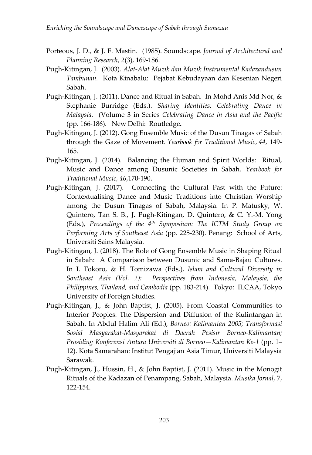- Porteous, J. D., & J. F. Mastin. (1985). Soundscape. *Journal of Architectural and Planning Research*, *2*(3), 169-186.
- Pugh-Kitingan, J. (2003). *Alat-Alat Muzik dan Muzik Instrumental Kadazandusun Tambunan.* Kota Kinabalu: Pejabat Kebudayaan dan Kesenian Negeri Sabah.
- Pugh-Kitingan, J. (2011). Dance and Ritual in Sabah. In Mohd Anis Md Nor, & Stephanie Burridge (Eds.). *Sharing Identities: Celebrating Dance in Malaysia.* (Volume 3 in Series *Celebrating Dance in Asia and the Pacific* (pp. 166-186). New Delhi: Routledge**.**
- Pugh-Kitingan, J. (2012). Gong Ensemble Music of the Dusun Tinagas of Sabah through the Gaze of Movement. *Yearbook for Traditional Music*, *44*, 149- 165.
- Pugh-Kitingan, J. (2014). Balancing the Human and Spirit Worlds: Ritual, Music and Dance among Dusunic Societies in Sabah. *Yearbook for Traditional Music, 46*,170-190.
- Pugh-Kitingan, J. (2017). Connecting the Cultural Past with the Future: Contextualising Dance and Music Traditions into Christian Worship among the Dusun Tinagas of Sabah, Malaysia. In P. Matusky, W. Quintero, Tan S. B., J. Pugh-Kitingan, D. Quintero, & C. Y.-M. Yong (Eds.), *Proceedings of the 4th Symposium: The ICTM Study Group on Performing Arts of Southeast Asia* (pp. 225-230). Penang: School of Arts, Universiti Sains Malaysia.
- Pugh-Kitingan, J. (2018). The Role of Gong Ensemble Music in Shaping Ritual in Sabah: A Comparison between Dusunic and Sama-Bajau Cultures. In I. Tokoro, & H. Tomizawa (Eds.), *Islam and Cultural Diversity in Southeast Asia (Vol. 2): Perspectives from Indonesia, Malaysia, the Philippines, Thailand, and Cambodia* (pp. 183-214). Tokyo: ILCAA, Tokyo University of Foreign Studies.
- Pugh-Kitingan, J., & John Baptist, J. (2005). From Coastal Communities to Interior Peoples: The Dispersion and Diffusion of the Kulintangan in Sabah. In Abdul Halim Ali (Ed.), *Borneo: Kalimantan 2005; Transformasi Sosial Masyarakat-Masyarakat di Daerah Pesisir Borneo-Kalimantan; Prosiding Konferensi Antara Universiti di Borneo—Kalimantan Ke-1* (pp. 1– 12). Kota Samarahan: Institut Pengajian Asia Timur, Universiti Malaysia Sarawak.
- Pugh-Kitingan, J., Hussin, H., & John Baptist, J. (2011). Music in the Monogit Rituals of the Kadazan of Penampang, Sabah, Malaysia. *Musika Jornal*, 7, 122-154.